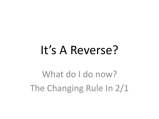# It's A Reverse?

What do I do now? The Changing Rule In 2/1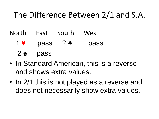### The Difference Between 2/1 and S.A.

North East South West

1 ♥ pass 2 ♣ pass

 $2 \triangle$  pass

- In Standard American, this is a reverse and shows extra values.
- In 2/1 this is not played as a reverse and does not necessarily show extra values.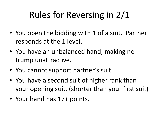# Rules for Reversing in 2/1

- You open the bidding with 1 of a suit. Partner responds at the 1 level.
- You have an unbalanced hand, making no trump unattractive.
- You cannot support partner's suit.
- You have a second suit of higher rank than your opening suit. (shorter than your first suit)
- Your hand has 17+ points.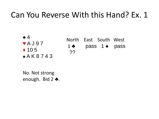$\triangle 4$ ♥ A J 9 7  $\triangle$  105 ♣ A K 8 7 4 3

North East South West 1 ♣ pass 1 ♠ pass ??

No. Not strong enough. Bid 2 ♣.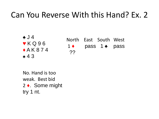♠ J 4 ♥ K Q 9 6  $A K 8 7 4$ ♣ 4 3

North East South West  $1 \leftarrow$  pass 1  $\leftarrow$  pass ??

No. Hand is too weak. Best bid 2 ♦. Some might try 1 nt.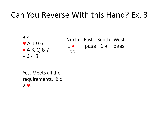$\triangle 4$ ♥ A J 9 6  $A K Q 87$ ♣ J 4 3

North East South West  $1 \leftarrow$  pass 1  $\leftarrow$  pass ??

Yes. Meets all the requirements. Bid 2 ♥.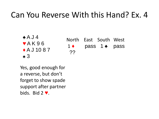$\triangle$  A J 4  $\blacktriangledown$  A K 96 ♦ A J 10 8 7  $\bullet$  3

North East South West  $1 \leftarrow$  pass 1  $\leftarrow$  pass ??

Yes, good enough for a reverse, but don't forget to show spade support after partner bids. Bid 2 ♥.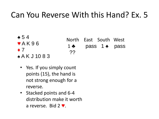- $\clubsuit$  54  $\blacktriangledown$  A K 9 6
	-
- $\bullet$  7
- ♣ A K J 10 8 3
- North East South West 1  $\bullet$  pass 1  $\bullet$  pass ??
- Yes. If you simply count points (15), the hand is not strong enough for a reverse.
- Stacked points and 6-4 distribution make it worth a reverse. Bid 2 ♥.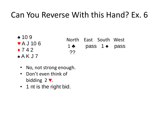♠ 10 9 ♥ A J 10 6  $\triangle$  7 4 2  $A$  A K J 7

North East South West 1 ♣ pass 1 ♠ pass ??

- No, not strong enough.
- Don't even think of bidding 2 ♥.
- 1 nt is the right bid.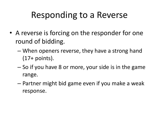# Responding to a Reverse

- A reverse is forcing on the responder for one round of bidding.
	- When openers reverse, they have a strong hand (17+ points).
	- So if you have 8 or more, your side is in the game range.
	- Partner might bid game even if you make a weak response.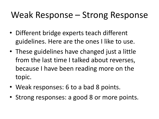# Weak Response – Strong Response

- Different bridge experts teach different guidelines. Here are the ones I like to use.
- These guidelines have changed just a little from the last time I talked about reverses, because I have been reading more on the topic.
- Weak responses: 6 to a bad 8 points.
- Strong responses: a good 8 or more points.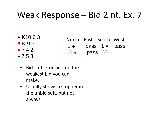# Weak Response – Bid 2 nt. Ex. 7

♠ K10 6 3 ♥ K 9 6  $\div$  7 4 2 ♣ 7 5 3

- North East South West 1  $\bullet$  pass 1  $\bullet$  pass  $2 \leftarrow$  pass ??
- Bid 2 nt. Considered the weakest bid you can make.
- Usually shows a stopper in the unbid suit, but not always.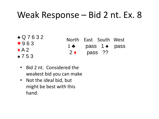# Weak Response – Bid 2 nt. Ex. 8

♠ Q 7 6 3 2 ♥ 9 6 3  $\triangle$  A 2 ♣ 7 5 3

- North East South West 1  $\bullet$  pass 1  $\bullet$  pass  $2 \leftarrow$  pass ??
- Bid 2 nt. Considered the weakest bid you can make
- Not the ideal bid, but might be best with this hand.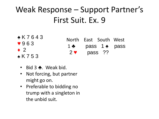# Weak Response – Support Partner's First Suit. Ex. 9

♠ K 7 6 4 3 ♥ 9 6 3  $\div$  2 ♣ K 7 5 3

- North East South West 1  $\bullet$  pass 1  $\bullet$  pass  $2 \cdot \text{pass}$  ??
- Bid 3 ♣. Weak bid.
- Not forcing, but partner might go on.
- Preferable to bidding no trump with a singleton in the unbid suit.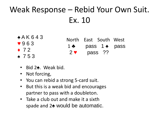# Weak Response – Rebid Your Own Suit. Ex. 10

- $\triangle$  A K 6 4 3 ♥ 9 6 3
- $\div$  72 ♣ 7 5 3
- North East South West 1  $\bullet$  pass 1  $\bullet$  pass  $2 \cdot \text{pass}$  ??
- Bid 2♠. Weak bid.
- Not forcing,
- You can rebid a strong 5-card suit.
- But this is a weak bid and encourages partner to pass with a doubleton.
- Take a club out and make it a sixth spade and 2♠ would be automatic.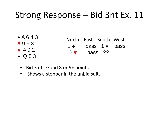# Strong Response – Bid 3nt Ex. 11

| $*$ A643                 |             | North East South West |         |               |
|--------------------------|-------------|-----------------------|---------|---------------|
| $\blacktriangledown$ 963 | $1 \bullet$ |                       |         | pass 1 • pass |
| $\triangle$ A92          | $2 \vee$    |                       | pass ?? |               |
| $\bullet$ Q53            |             |                       |         |               |

- Bid 3 nt. Good 8 or 9+ points
- Shows a stopper in the unbid suit.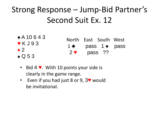# Strong Response – Jump-Bid Partner's Second Suit Ex. 12

| $*$ A 10 6 4 3                   | North East South West    |         |                             |
|----------------------------------|--------------------------|---------|-----------------------------|
| $\blacktriangledown$ K J 9 3     | $1 \bullet$              |         | pass $1 \triangleleft$ pass |
| $\bullet$ 2<br>$\triangle$ Q 5 3 | $2$ $\blacktriangledown$ | pass ?? |                             |
|                                  |                          |         |                             |

- Bid 4 ♥. With 10 points your side is clearly in the game range.
- Even if you had just 8 or 9, 3♥ would be invitational.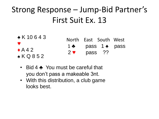### Strong Response – Jump-Bid Partner's First Suit Ex. 13

| $*$ K 10643                                       |                                         | North East South West               |  |
|---------------------------------------------------|-----------------------------------------|-------------------------------------|--|
| $\bullet$<br>$\triangle$ A 4 2<br>$\bullet$ KQ852 | $1 \bullet$<br>$2$ $\blacktriangledown$ | pass 1 <del>∡</del> pass<br>pass ?? |  |

- Bid 4 ♣ You must be careful that you don't pass a makeable 3nt.
- With this distribution, a club game looks best.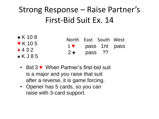# Strong Response – Raise Partner's First-Bid Suit Ex. 14

| $\triangle$ K 108                        | North East South West    |         |               |  |
|------------------------------------------|--------------------------|---------|---------------|--|
| $\blacktriangledown$ K 105<br>$\div$ 432 | $1$ $\blacktriangledown$ |         | pass 1nt pass |  |
| $\bullet$ K J 8 5                        | $2 \cdot$                | pass ?? |               |  |

- Bid 3 ♥ When Partner's first-bid suit is a major and you raise that suit after a reverse, it is game forcing.
- Opener has 5 cards, so you can raise with 3-card support.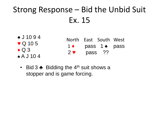# Strong Response – Bid the Unbid Suit Ex. 15

- ♠ J 10 9 4 ♥ Q 10 5  $\triangle$  Q 3 ♣ A J 10 4 North East South West  $1 \leftarrow$  pass 1  $\leftarrow$  pass  $2 \vee$  pass ??
	- Bid 3  $\bullet$  Bidding the 4<sup>th</sup> suit shows a stopper and is game forcing.